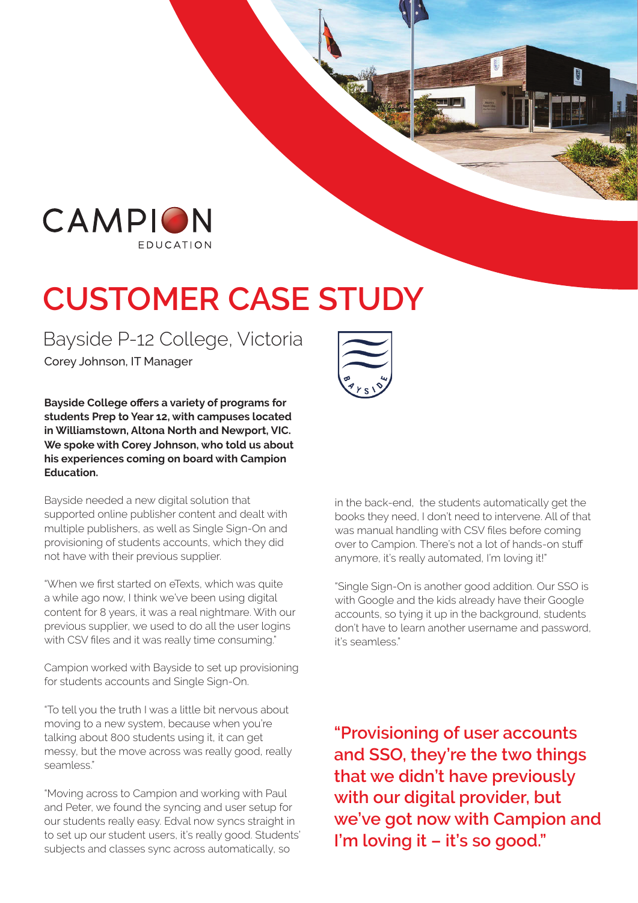

## **CUSTOMER CASE STUDY**

## Bayside P-12 College, Victoria

Corey Johnson, IT Manager

**Bayside College offers a variety of programs for students Prep to Year 12, with campuses located in Williamstown, Altona North and Newport, VIC. We spoke with Corey Johnson, who told us about his experiences coming on board with Campion Education.**

Bayside needed a new digital solution that supported online publisher content and dealt with multiple publishers, as well as Single Sign-On and provisioning of students accounts, which they did not have with their previous supplier.

"When we first started on eTexts, which was quite a while ago now, I think we've been using digital content for 8 years, it was a real nightmare. With our previous supplier, we used to do all the user logins with CSV files and it was really time consuming."

Campion worked with Bayside to set up provisioning for students accounts and Single Sign-On.

"To tell you the truth I was a little bit nervous about moving to a new system, because when you're talking about 800 students using it, it can get messy, but the move across was really good, really seamless."

"Moving across to Campion and working with Paul and Peter, we found the syncing and user setup for our students really easy. Edval now syncs straight in to set up our student users, it's really good. Students' subjects and classes sync across automatically, so



in the back-end, the students automatically get the books they need, I don't need to intervene. All of that was manual handling with CSV files before coming over to Campion. There's not a lot of hands-on stuff anymore, it's really automated, I'm loving it!"

"Single Sign-On is another good addition. Our SSO is with Google and the kids already have their Google accounts, so tying it up in the background, students don't have to learn another username and password, it's seamless."

**"Provisioning of user accounts and SSO, they're the two things that we didn't have previously with our digital provider, but we've got now with Campion and I'm loving it – it's so good."**